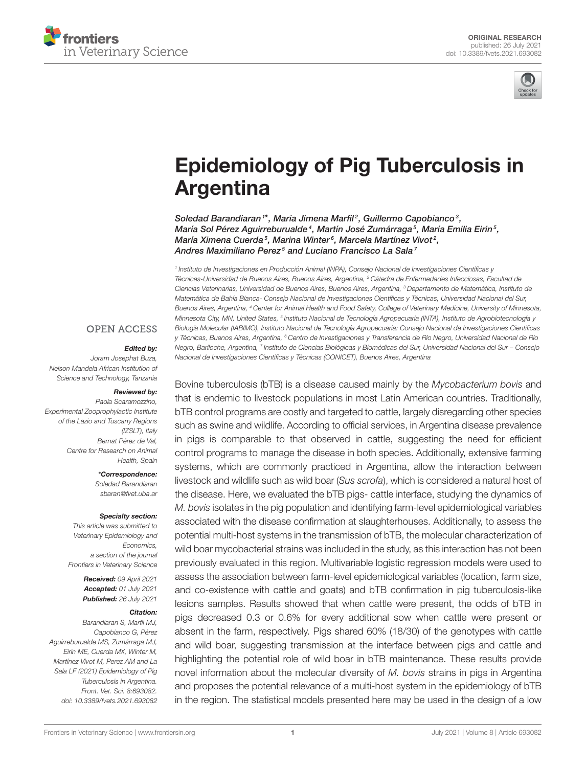



# [Epidemiology of Pig Tuberculosis in](https://www.frontiersin.org/articles/10.3389/fvets.2021.693082/full) Argentina

Soledad Barandiaran<sup>1\*</sup>, María Jimena Marfil<sup>2</sup>, Guillermo Capobianco<sup>3</sup>, María Sol Pérez Aguirreburualde<sup>4</sup>, Martín José Zumárraga<sup>5</sup>, María Emilia Eirin<sup>5</sup>, María Ximena Cuerda<sup>5</sup>, Marina Winter<sup>6</sup>, Marcela Martínez Vivot<sup>2</sup>, Andres Maximiliano Perez<sup>5</sup> and Luciano Francisco La Sala<sup>7</sup>

1 Instituto de Investigaciones en Producción Animal (INPA), Consejo Nacional de Investigaciones Científicas y Técnicas-Universidad de Buenos Aires, Buenos Aires, Argentina, <sup>2</sup> Cátedra de Enfermedades Infecciosas, Facultad de Ciencias Veterinarias, Universidad de Buenos Aires, Buenos Aires, Argentina, <sup>3</sup> Departamento de Matemática, Instituto de Matemática de Bahía Blanca- Consejo Nacional de Investigaciones Científicas y Técnicas, Universidad Nacional del Sur, Buenos Aires, Argentina, <sup>4</sup> Center for Animal Health and Food Safety, College of Veterinary Medicine, University of Minnesota, Minnesota City, MN, United States, <sup>5</sup> Instituto Nacional de Tecnología Agropecuaria (INTA), Instituto de Agrobiotecnología y Biología Molecular (IABIMO), Instituto Nacional de Tecnología Agropecuaria: Consejo Nacional de Investigaciones Científicas y Técnicas, Buenos Aires, Argentina, <sup>6</sup> Centro de Investigaciones y Transferencia de Río Negro, Universidad Nacional de Río Negro, Bariloche, Argentina, <sup>7</sup> Instituto de Ciencias Biológicas y Biomédicas del Sur, Universidad Nacional del Sur – Consejo Nacional de Investigaciones Científicas y Técnicas (CONICET), Buenos Aires, Argentina

**OPEN ACCESS** 

#### Edited by:

Joram Josephat Buza, Nelson Mandela African Institution of Science and Technology, Tanzania

#### Reviewed by:

Paola Scaramozzino, Experimental Zooprophylactic Institute of the Lazio and Tuscany Regions (IZSLT), Italy Bernat Pérez de Val, Centre for Research on Animal Health, Spain

> \*Correspondence: Soledad Barandiaran [sbaran@fvet.uba.ar](mailto:sbaran@fvet.uba.ar)

#### Specialty section:

This article was submitted to Veterinary Epidemiology and **Economics** a section of the journal Frontiers in Veterinary Science

> Received: 09 April 2021 Accepted: 01 July 2021 Published: 26 July 2021

#### Citation:

Barandiaran S, Marfil M.I. Capobianco G, Pérez Aguirreburualde MS, Zumárraga MJ, Eirin ME, Cuerda MX, Winter M, Martínez Vivot M, Perez AM and La Sala LF (2021) Epidemiology of Pig Tuberculosis in Argentina. Front. Vet. Sci. 8:693082. doi: [10.3389/fvets.2021.693082](https://doi.org/10.3389/fvets.2021.693082) Bovine tuberculosis (bTB) is a disease caused mainly by the Mycobacterium bovis and that is endemic to livestock populations in most Latin American countries. Traditionally, bTB control programs are costly and targeted to cattle, largely disregarding other species such as swine and wildlife. According to official services, in Argentina disease prevalence in pigs is comparable to that observed in cattle, suggesting the need for efficient control programs to manage the disease in both species. Additionally, extensive farming systems, which are commonly practiced in Argentina, allow the interaction between livestock and wildlife such as wild boar (Sus scrofa), which is considered a natural host of the disease. Here, we evaluated the bTB pigs- cattle interface, studying the dynamics of M. bovis isolates in the pig population and identifying farm-level epidemiological variables associated with the disease confirmation at slaughterhouses. Additionally, to assess the potential multi-host systems in the transmission of bTB, the molecular characterization of wild boar mycobacterial strains was included in the study, as this interaction has not been previously evaluated in this region. Multivariable logistic regression models were used to assess the association between farm-level epidemiological variables (location, farm size, and co-existence with cattle and goats) and bTB confirmation in pig tuberculosis-like lesions samples. Results showed that when cattle were present, the odds of bTB in pigs decreased 0.3 or 0.6% for every additional sow when cattle were present or absent in the farm, respectively. Pigs shared 60% (18/30) of the genotypes with cattle and wild boar, suggesting transmission at the interface between pigs and cattle and highlighting the potential role of wild boar in bTB maintenance. These results provide novel information about the molecular diversity of M. bovis strains in pigs in Argentina and proposes the potential relevance of a multi-host system in the epidemiology of bTB in the region. The statistical models presented here may be used in the design of a low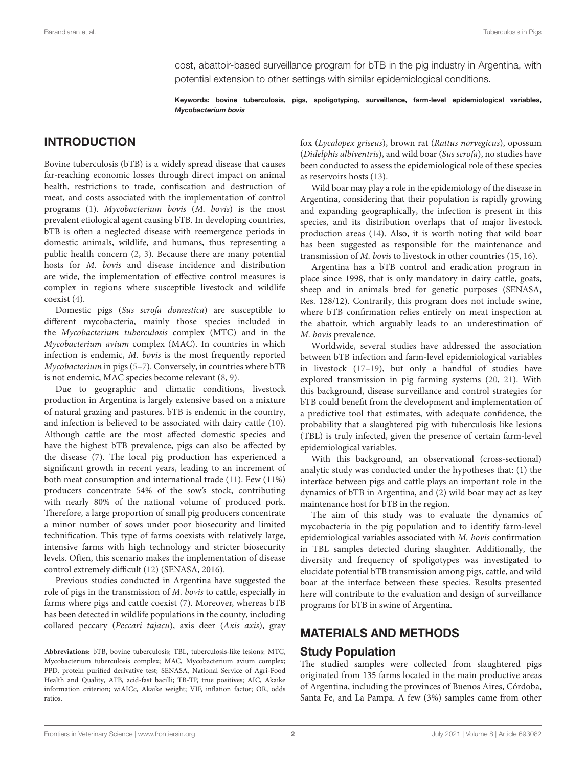cost, abattoir-based surveillance program for bTB in the pig industry in Argentina, with potential extension to other settings with similar epidemiological conditions.

Keywords: bovine tuberculosis, pigs, spoligotyping, surveillance, farm-level epidemiological variables, Mycobacterium bovis

## INTRODUCTION

Bovine tuberculosis (bTB) is a widely spread disease that causes far-reaching economic losses through direct impact on animal health, restrictions to trade, confiscation and destruction of meat, and costs associated with the implementation of control programs [\(1\)](#page-6-0). Mycobacterium bovis (M. bovis) is the most prevalent etiological agent causing bTB. In developing countries, bTB is often a neglected disease with reemergence periods in domestic animals, wildlife, and humans, thus representing a public health concern [\(2,](#page-6-1) [3\)](#page-6-2). Because there are many potential hosts for *M. bovis* and disease incidence and distribution are wide, the implementation of effective control measures is complex in regions where susceptible livestock and wildlife coexist [\(4\)](#page-6-3).

Domestic pigs (Sus scrofa domestica) are susceptible to different mycobacteria, mainly those species included in the Mycobacterium tuberculosis complex (MTC) and in the Mycobacterium avium complex (MAC). In countries in which infection is endemic, M. bovis is the most frequently reported Mycobacterium in pigs [\(5–](#page-6-4)[7\)](#page-6-5). Conversely, in countries where bTB is not endemic, MAC species become relevant [\(8,](#page-6-6) [9\)](#page-6-7).

Due to geographic and climatic conditions, livestock production in Argentina is largely extensive based on a mixture of natural grazing and pastures. bTB is endemic in the country, and infection is believed to be associated with dairy cattle [\(10\)](#page-6-8). Although cattle are the most affected domestic species and have the highest bTB prevalence, pigs can also be affected by the disease [\(7\)](#page-6-5). The local pig production has experienced a significant growth in recent years, leading to an increment of both meat consumption and international trade [\(11\)](#page-6-9). Few (11%) producers concentrate 54% of the sow's stock, contributing with nearly 80% of the national volume of produced pork. Therefore, a large proportion of small pig producers concentrate a minor number of sows under poor biosecurity and limited technification. This type of farms coexists with relatively large, intensive farms with high technology and stricter biosecurity levels. Often, this scenario makes the implementation of disease control extremely difficult [\(12\)](#page-6-10) (SENASA, 2016).

Previous studies conducted in Argentina have suggested the role of pigs in the transmission of M. bovis to cattle, especially in farms where pigs and cattle coexist [\(7\)](#page-6-5). Moreover, whereas bTB has been detected in wildlife populations in the county, including collared peccary (Peccari tajacu), axis deer (Axis axis), gray fox (Lycalopex griseus), brown rat (Rattus norvegicus), opossum (Didelphis albiventris), and wild boar (Sus scrofa), no studies have been conducted to assess the epidemiological role of these species as reservoirs hosts [\(13\)](#page-6-11).

Wild boar may play a role in the epidemiology of the disease in Argentina, considering that their population is rapidly growing and expanding geographically, the infection is present in this species, and its distribution overlaps that of major livestock production areas [\(14\)](#page-6-12). Also, it is worth noting that wild boar has been suggested as responsible for the maintenance and transmission of M. bovis to livestock in other countries [\(15,](#page-6-13) [16\)](#page-6-14).

Argentina has a bTB control and eradication program in place since 1998, that is only mandatory in dairy cattle, goats, sheep and in animals bred for genetic purposes (SENASA, Res. 128/12). Contrarily, this program does not include swine, where bTB confirmation relies entirely on meat inspection at the abattoir, which arguably leads to an underestimation of M. bovis prevalence.

Worldwide, several studies have addressed the association between bTB infection and farm-level epidemiological variables in livestock [\(17](#page-6-15)[–19\)](#page-6-16), but only a handful of studies have explored transmission in pig farming systems [\(20,](#page-6-17) [21\)](#page-6-18). With this background, disease surveillance and control strategies for bTB could benefit from the development and implementation of a predictive tool that estimates, with adequate confidence, the probability that a slaughtered pig with tuberculosis like lesions (TBL) is truly infected, given the presence of certain farm-level epidemiological variables.

With this background, an observational (cross-sectional) analytic study was conducted under the hypotheses that: (1) the interface between pigs and cattle plays an important role in the dynamics of bTB in Argentina, and (2) wild boar may act as key maintenance host for bTB in the region.

The aim of this study was to evaluate the dynamics of mycobacteria in the pig population and to identify farm-level epidemiological variables associated with M. bovis confirmation in TBL samples detected during slaughter. Additionally, the diversity and frequency of spoligotypes was investigated to elucidate potential bTB transmission among pigs, cattle, and wild boar at the interface between these species. Results presented here will contribute to the evaluation and design of surveillance programs for bTB in swine of Argentina.

## MATERIALS AND METHODS

### Study Population

The studied samples were collected from slaughtered pigs originated from 135 farms located in the main productive areas of Argentina, including the provinces of Buenos Aires, Córdoba, Santa Fe, and La Pampa. A few (3%) samples came from other

**Abbreviations:** bTB, bovine tuberculosis; TBL, tuberculosis-like lesions; MTC, Mycobacterium tuberculosis complex; MAC, Mycobacterium avium complex; PPD, protein purified derivative test; SENASA, National Service of Agri-Food Health and Quality, AFB, acid-fast bacilli; TB-TP, true positives; AIC, Akaike information criterion; wiAICc, Akaike weight; VIF, inflation factor; OR, odds ratios.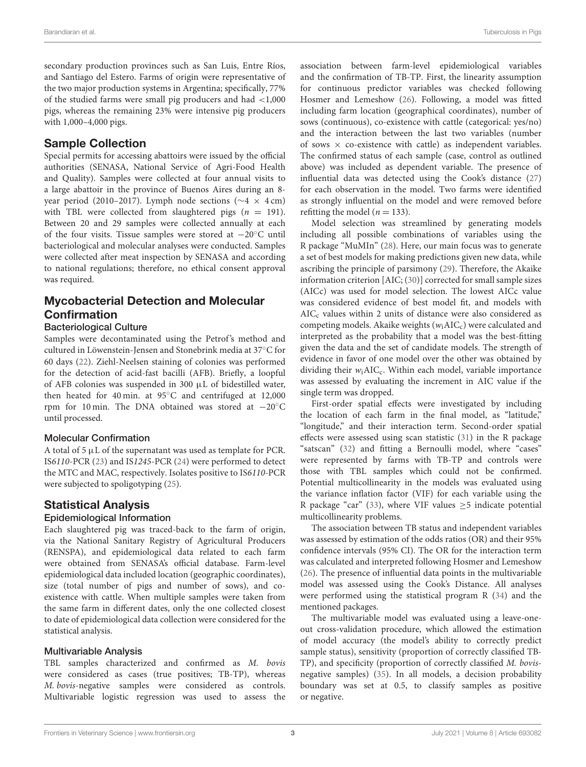secondary production provinces such as San Luis, Entre Ríos, and Santiago del Estero. Farms of origin were representative of the two major production systems in Argentina; specifically, 77% of the studied farms were small pig producers and had  $\langle 1,000 \rangle$ pigs, whereas the remaining 23% were intensive pig producers with 1,000–4,000 pigs.

## Sample Collection

Special permits for accessing abattoirs were issued by the official authorities (SENASA, National Service of Agri-Food Health and Quality). Samples were collected at four annual visits to a large abattoir in the province of Buenos Aires during an 8 year period (2010–2017). Lymph node sections (∼4 × 4 cm) with TBL were collected from slaughtered pigs  $(n = 191)$ . Between 20 and 29 samples were collected annually at each of the four visits. Tissue samples were stored at −20◦C until bacteriological and molecular analyses were conducted. Samples were collected after meat inspection by SENASA and according to national regulations; therefore, no ethical consent approval was required.

# Mycobacterial Detection and Molecular Confirmation

#### Bacteriological Culture

Samples were decontaminated using the Petrof's method and cultured in Löwenstein-Jensen and Stonebrink media at 37◦C for 60 days [\(22\)](#page-6-19). Ziehl-Neelsen staining of colonies was performed for the detection of acid-fast bacilli (AFB). Briefly, a loopful of AFB colonies was suspended in 300 µL of bidestilled water, then heated for 40 min. at 95◦C and centrifuged at 12,000 rpm for 10 min. The DNA obtained was stored at −20◦C until processed.

#### Molecular Confirmation

A total of 5  $\mu$ L of the supernatant was used as template for PCR. IS6110-PCR [\(23\)](#page-7-0) and IS1245-PCR [\(24\)](#page-7-1) were performed to detect the MTC and MAC, respectively. Isolates positive to IS6110-PCR were subjected to spoligotyping [\(25\)](#page-7-2).

# Statistical Analysis

#### Epidemiological Information

Each slaughtered pig was traced-back to the farm of origin, via the National Sanitary Registry of Agricultural Producers (RENSPA), and epidemiological data related to each farm were obtained from SENASA's official database. Farm-level epidemiological data included location (geographic coordinates), size (total number of pigs and number of sows), and coexistence with cattle. When multiple samples were taken from the same farm in different dates, only the one collected closest to date of epidemiological data collection were considered for the statistical analysis.

#### Multivariable Analysis

TBL samples characterized and confirmed as M. bovis were considered as cases (true positives; TB-TP), whereas M. bovis-negative samples were considered as controls. Multivariable logistic regression was used to assess the association between farm-level epidemiological variables and the confirmation of TB-TP. First, the linearity assumption for continuous predictor variables was checked following Hosmer and Lemeshow [\(26\)](#page-7-3). Following, a model was fitted including farm location (geographical coordinates), number of sows (continuous), co-existence with cattle (categorical: yes/no) and the interaction between the last two variables (number of sows  $\times$  co-existence with cattle) as independent variables. The confirmed status of each sample (case, control as outlined above) was included as dependent variable. The presence of influential data was detected using the Cook's distance [\(27\)](#page-7-4) for each observation in the model. Two farms were identified as strongly influential on the model and were removed before refitting the model ( $n = 133$ ).

Model selection was streamlined by generating models including all possible combinations of variables using the R package "MuMIn" [\(28\)](#page-7-5). Here, our main focus was to generate a set of best models for making predictions given new data, while ascribing the principle of parsimony [\(29\)](#page-7-6). Therefore, the Akaike information criterion [AIC; [\(30\)](#page-7-7)] corrected for small sample sizes (AICc) was used for model selection. The lowest AICc value was considered evidence of best model fit, and models with  $AIC<sub>c</sub>$  values within 2 units of distance were also considered as competing models. Akaike weights  $(w_i AIC_c)$  were calculated and interpreted as the probability that a model was the best-fitting given the data and the set of candidate models. The strength of evidence in favor of one model over the other was obtained by dividing their  $w_i AIC_c$ . Within each model, variable importance was assessed by evaluating the increment in AIC value if the single term was dropped.

First-order spatial effects were investigated by including the location of each farm in the final model, as "latitude," "longitude," and their interaction term. Second-order spatial effects were assessed using scan statistic [\(31\)](#page-7-8) in the R package "satscan" [\(32\)](#page-7-9) and fitting a Bernoulli model, where "cases" were represented by farms with TB-TP and controls were those with TBL samples which could not be confirmed. Potential multicollinearity in the models was evaluated using the variance inflation factor (VIF) for each variable using the R package "car" [\(33\)](#page-7-10), where VIF values  $\geq$  5 indicate potential multicollinearity problems.

The association between TB status and independent variables was assessed by estimation of the odds ratios (OR) and their 95% confidence intervals (95% CI). The OR for the interaction term was calculated and interpreted following Hosmer and Lemeshow [\(26\)](#page-7-3). The presence of influential data points in the multivariable model was assessed using the Cook's Distance. All analyses were performed using the statistical program R [\(34\)](#page-7-11) and the mentioned packages.

The multivariable model was evaluated using a leave-oneout cross-validation procedure, which allowed the estimation of model accuracy (the model's ability to correctly predict sample status), sensitivity (proportion of correctly classified TB-TP), and specificity (proportion of correctly classified M. bovisnegative samples) [\(35\)](#page-7-12). In all models, a decision probability boundary was set at 0.5, to classify samples as positive or negative.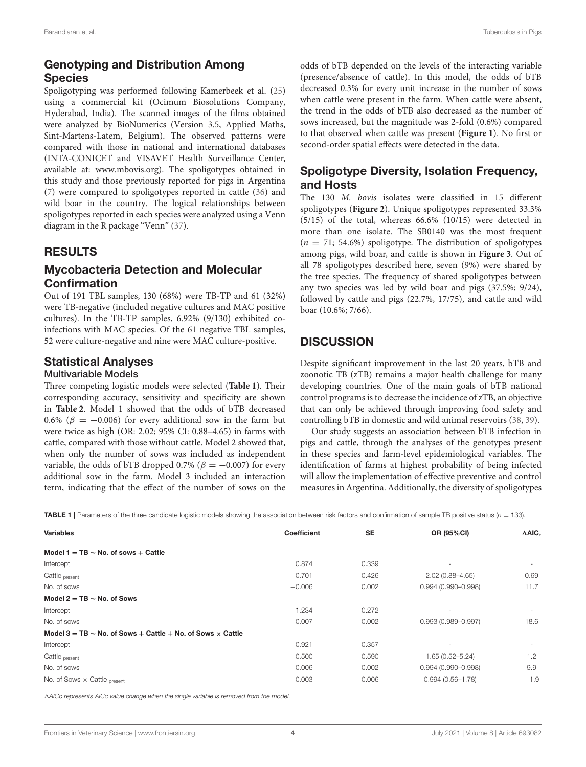# Genotyping and Distribution Among **Species**

Spoligotyping was performed following Kamerbeek et al. [\(25\)](#page-7-2) using a commercial kit (Ocimum Biosolutions Company, Hyderabad, India). The scanned images of the films obtained were analyzed by BioNumerics (Version 3.5, Applied Maths, Sint-Martens-Latem, Belgium). The observed patterns were compared with those in national and international databases (INTA-CONICET and VISAVET Health Surveillance Center, available at: [www.mbovis.org\)](http://www.mbovis.org). The spoligotypes obtained in this study and those previously reported for pigs in Argentina [\(7\)](#page-6-5) were compared to spoligotypes reported in cattle [\(36\)](#page-7-13) and wild boar in the country. The logical relationships between spoligotypes reported in each species were analyzed using a Venn diagram in the R package "Venn" [\(37\)](#page-7-14).

## RESULTS

## Mycobacteria Detection and Molecular Confirmation

Out of 191 TBL samples, 130 (68%) were TB-TP and 61 (32%) were TB-negative (included negative cultures and MAC positive cultures). In the TB-TP samples, 6.92% (9/130) exhibited coinfections with MAC species. Of the 61 negative TBL samples, 52 were culture-negative and nine were MAC culture-positive.

## Statistical Analyses

#### Multivariable Models

Three competing logistic models were selected (**[Table 1](#page-3-0)**). Their corresponding accuracy, sensitivity and specificity are shown in **[Table 2](#page-4-0)**. Model 1 showed that the odds of bTB decreased 0.6% ( $\beta = -0.006$ ) for every additional sow in the farm but were twice as high (OR: 2.02; 95% CI: 0.88–4.65) in farms with cattle, compared with those without cattle. Model 2 showed that, when only the number of sows was included as independent variable, the odds of bTB dropped 0.7% ( $\beta = -0.007$ ) for every additional sow in the farm. Model 3 included an interaction term, indicating that the effect of the number of sows on the odds of bTB depended on the levels of the interacting variable (presence/absence of cattle). In this model, the odds of bTB decreased 0.3% for every unit increase in the number of sows when cattle were present in the farm. When cattle were absent, the trend in the odds of bTB also decreased as the number of sows increased, but the magnitude was 2-fold (0.6%) compared to that observed when cattle was present (**[Figure 1](#page-4-1)**). No first or second-order spatial effects were detected in the data.

## Spoligotype Diversity, Isolation Frequency, and Hosts

The 130 M. bovis isolates were classified in 15 different spoligotypes (**[Figure 2](#page-5-0)**). Unique spoligotypes represented 33.3% (5/15) of the total, whereas 66.6% (10/15) were detected in more than one isolate. The SB0140 was the most frequent  $(n = 71; 54.6%)$  spoligotype. The distribution of spoligotypes among pigs, wild boar, and cattle is shown in **[Figure 3](#page-5-1)**. Out of all 78 spoligotypes described here, seven (9%) were shared by the tree species. The frequency of shared spoligotypes between any two species was led by wild boar and pigs (37.5%; 9/24), followed by cattle and pigs (22.7%, 17/75), and cattle and wild boar (10.6%; 7/66).

## **DISCUSSION**

Despite significant improvement in the last 20 years, bTB and zoonotic TB (zTB) remains a major health challenge for many developing countries. One of the main goals of bTB national control programs is to decrease the incidence of zTB, an objective that can only be achieved through improving food safety and controlling bTB in domestic and wild animal reservoirs [\(38,](#page-7-15) [39\)](#page-7-16).

Our study suggests an association between bTB infection in pigs and cattle, through the analyses of the genotypes present in these species and farm-level epidemiological variables. The identification of farms at highest probability of being infected will allow the implementation of effective preventive and control measures in Argentina. Additionally, the diversity of spoligotypes

<span id="page-3-0"></span>**TABLE 1** | Parameters of the three candidate logistic models showing the association between risk factors and confirmation of sample TB positive status ( $n = 133$ ).

| <b>Variables</b>                                                       | <b>Coefficient</b> | <b>SE</b> | OR (95%CI)             |                              |
|------------------------------------------------------------------------|--------------------|-----------|------------------------|------------------------------|
|                                                                        |                    |           |                        | $\triangle$ AIC <sub>c</sub> |
| Model 1 = $TB \sim No$ , of sows + Cattle                              |                    |           |                        |                              |
| Intercept                                                              | 0.874              | 0.339     |                        | $\sim$                       |
| Cattle present                                                         | 0.701              | 0.426     | $2.02(0.88 - 4.65)$    | 0.69                         |
| No. of sows                                                            | $-0.006$           | 0.002     | $0.994(0.990 - 0.998)$ | 11.7                         |
| Model 2 = TB $\sim$ No. of Sows                                        |                    |           |                        |                              |
| Intercept                                                              | 1.234              | 0.272     | ٠                      | ٠                            |
| No. of sows                                                            | $-0.007$           | 0.002     | $0.993(0.989 - 0.997)$ | 18.6                         |
| Model 3 = TB $\sim$ No. of Sows + Cattle + No. of Sows $\times$ Cattle |                    |           |                        |                              |
| Intercept                                                              | 0.921              | 0.357     |                        |                              |
| Cattle present                                                         | 0.500              | 0.590     | $1.65(0.52 - 5.24)$    | 1.2                          |
| No. of sows                                                            | $-0.006$           | 0.002     | $0.994(0.990 - 0.998)$ | 9.9                          |
| No. of Sows $\times$ Cattle present                                    | 0.003              | 0.006     | $0.994(0.56 - 1.78)$   | $-1.9$                       |

1AICc represents AICc value change when the single variable is removed from the model.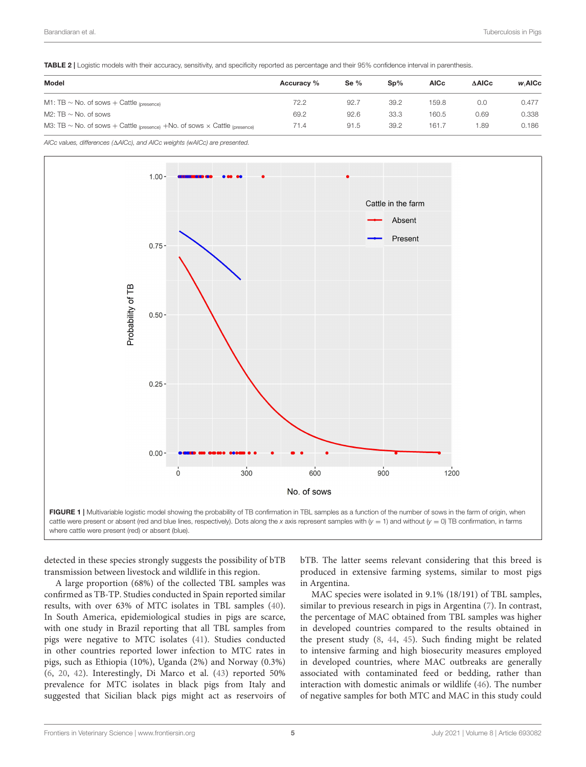<span id="page-4-0"></span>TABLE 2 | Logistic models with their accuracy, sensitivity, and specificity reported as percentage and their 95% confidence interval in parenthesis.

| Model                                                                                 | Accuracy % | Se $%$ | $\mathbf{Sp}\%$ | <b>AICc</b> | <b>AAICc</b> | <b>w</b> AICc |  |
|---------------------------------------------------------------------------------------|------------|--------|-----------------|-------------|--------------|---------------|--|
| M1: TB $\sim$ No. of sows + Cattle $_{\text{(presence)}}$                             | 72.2       | 92.7   | 39.2            | 159.8       | 0.0          | 0.477         |  |
| M2: TB $\sim$ No. of sows                                                             | 69.2       | 92.6   | 33.3            | 160.5       | 0.69         | 0.338         |  |
| M3: TB $\sim$ No. of sows + Cattle (presence) +No. of sows $\times$ Cattle (presence) | 71.4       | 91.5   | 39.2            | 161.7       | 1.89         | 0.186         |  |

AICc values, differences ( $\Delta$ AICc), and AICc weights (wAICc) are presented.



<span id="page-4-1"></span>where cattle were present (red) or absent (blue).

detected in these species strongly suggests the possibility of bTB transmission between livestock and wildlife in this region.

A large proportion (68%) of the collected TBL samples was confirmed as TB-TP. Studies conducted in Spain reported similar results, with over 63% of MTC isolates in TBL samples [\(40\)](#page-7-17). In South America, epidemiological studies in pigs are scarce, with one study in Brazil reporting that all TBL samples from pigs were negative to MTC isolates [\(41\)](#page-7-18). Studies conducted in other countries reported lower infection to MTC rates in pigs, such as Ethiopia (10%), Uganda (2%) and Norway (0.3%) [\(6,](#page-6-20) [20,](#page-6-17) [42\)](#page-7-19). Interestingly, Di Marco et al. [\(43\)](#page-7-20) reported 50% prevalence for MTC isolates in black pigs from Italy and suggested that Sicilian black pigs might act as reservoirs of bTB. The latter seems relevant considering that this breed is produced in extensive farming systems, similar to most pigs in Argentina.

MAC species were isolated in 9.1% (18/191) of TBL samples, similar to previous research in pigs in Argentina [\(7\)](#page-6-5). In contrast, the percentage of MAC obtained from TBL samples was higher in developed countries compared to the results obtained in the present study [\(8,](#page-6-6) [44,](#page-7-21) [45\)](#page-7-22). Such finding might be related to intensive farming and high biosecurity measures employed in developed countries, where MAC outbreaks are generally associated with contaminated feed or bedding, rather than interaction with domestic animals or wildlife [\(46\)](#page-7-23). The number of negative samples for both MTC and MAC in this study could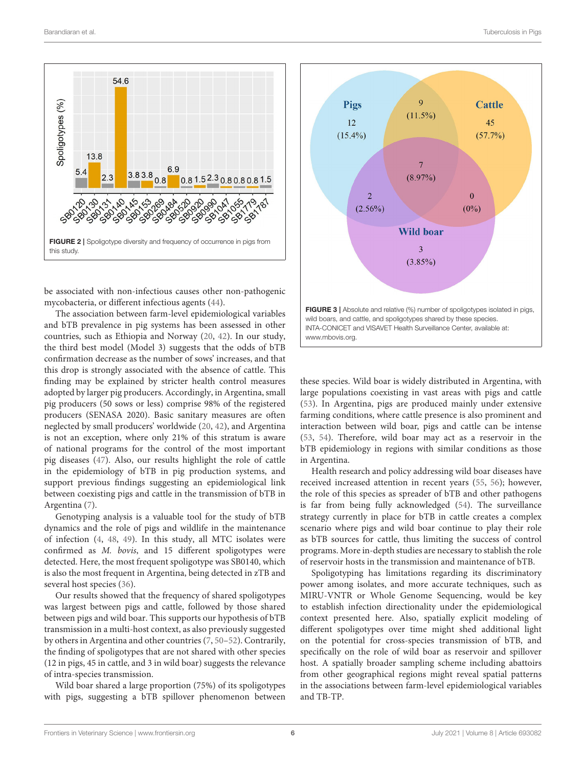

<span id="page-5-0"></span>be associated with non-infectious causes other non-pathogenic mycobacteria, or different infectious agents [\(44\)](#page-7-21).

The association between farm-level epidemiological variables and bTB prevalence in pig systems has been assessed in other countries, such as Ethiopia and Norway [\(20,](#page-6-17) [42\)](#page-7-19). In our study, the third best model (Model 3) suggests that the odds of bTB confirmation decrease as the number of sows' increases, and that this drop is strongly associated with the absence of cattle. This finding may be explained by stricter health control measures adopted by larger pig producers. Accordingly, in Argentina, small pig producers (50 sows or less) comprise 98% of the registered producers (SENASA 2020). Basic sanitary measures are often neglected by small producers' worldwide [\(20,](#page-6-17) [42\)](#page-7-19), and Argentina is not an exception, where only 21% of this stratum is aware of national programs for the control of the most important pig diseases [\(47\)](#page-7-24). Also, our results highlight the role of cattle in the epidemiology of bTB in pig production systems, and support previous findings suggesting an epidemiological link between coexisting pigs and cattle in the transmission of bTB in Argentina [\(7\)](#page-6-5).

Genotyping analysis is a valuable tool for the study of bTB dynamics and the role of pigs and wildlife in the maintenance of infection [\(4,](#page-6-3) [48,](#page-7-25) [49\)](#page-7-26). In this study, all MTC isolates were confirmed as M. bovis, and 15 different spoligotypes were detected. Here, the most frequent spoligotype was SB0140, which is also the most frequent in Argentina, being detected in zTB and several host species [\(36\)](#page-7-13).

Our results showed that the frequency of shared spoligotypes was largest between pigs and cattle, followed by those shared between pigs and wild boar. This supports our hypothesis of bTB transmission in a multi-host context, as also previously suggested by others in Argentina and other countries [\(7,](#page-6-5) [50](#page-7-27)[–52\)](#page-7-28). Contrarily, the finding of spoligotypes that are not shared with other species (12 in pigs, 45 in cattle, and 3 in wild boar) suggests the relevance of intra-species transmission.

Wild boar shared a large proportion (75%) of its spoligotypes with pigs, suggesting a bTB spillover phenomenon between



<span id="page-5-1"></span>these species. Wild boar is widely distributed in Argentina, with large populations coexisting in vast areas with pigs and cattle [\(53\)](#page-7-29). In Argentina, pigs are produced mainly under extensive farming conditions, where cattle presence is also prominent and interaction between wild boar, pigs and cattle can be intense [\(53,](#page-7-29) [54\)](#page-7-30). Therefore, wild boar may act as a reservoir in the bTB epidemiology in regions with similar conditions as those in Argentina.

Health research and policy addressing wild boar diseases have received increased attention in recent years [\(55,](#page-7-31) [56\)](#page-7-32); however, the role of this species as spreader of bTB and other pathogens is far from being fully acknowledged [\(54\)](#page-7-30). The surveillance strategy currently in place for bTB in cattle creates a complex scenario where pigs and wild boar continue to play their role as bTB sources for cattle, thus limiting the success of control programs. More in-depth studies are necessary to stablish the role of reservoir hosts in the transmission and maintenance of bTB.

Spoligotyping has limitations regarding its discriminatory power among isolates, and more accurate techniques, such as MIRU-VNTR or Whole Genome Sequencing, would be key to establish infection directionality under the epidemiological context presented here. Also, spatially explicit modeling of different spoligotypes over time might shed additional light on the potential for cross-species transmission of bTB, and specifically on the role of wild boar as reservoir and spillover host. A spatially broader sampling scheme including abattoirs from other geographical regions might reveal spatial patterns in the associations between farm-level epidemiological variables and TB-TP.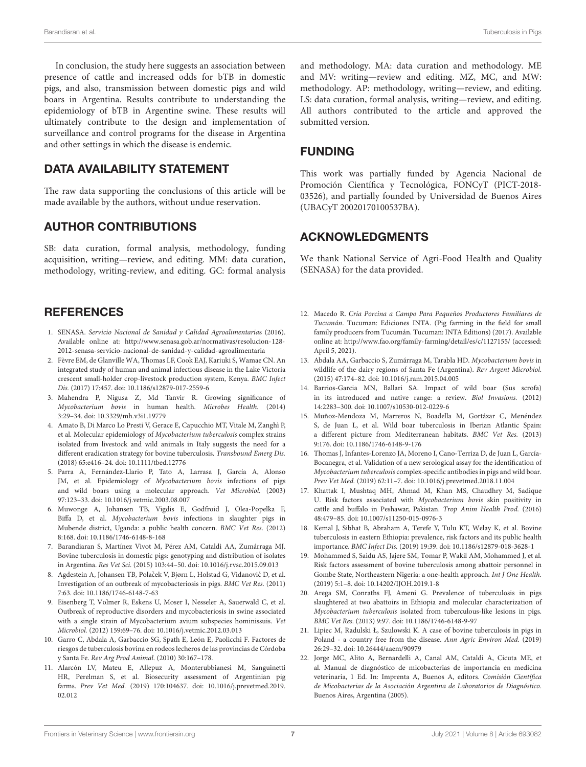In conclusion, the study here suggests an association between presence of cattle and increased odds for bTB in domestic pigs, and also, transmission between domestic pigs and wild boars in Argentina. Results contribute to understanding the epidemiology of bTB in Argentine swine. These results will ultimately contribute to the design and implementation of surveillance and control programs for the disease in Argentina and other settings in which the disease is endemic.

## DATA AVAILABILITY STATEMENT

The raw data supporting the conclusions of this article will be made available by the authors, without undue reservation.

## AUTHOR CONTRIBUTIONS

SB: data curation, formal analysis, methodology, funding acquisition, writing—review, and editing. MM: data curation, methodology, writing-review, and editing. GC: formal analysis

## **REFERENCES**

- <span id="page-6-0"></span>1. SENASA. Servicio Nacional de Sanidad y Calidad Agroalimentarias (2016). Available online at: [http://www.senasa.gob.ar/normativas/resolucion-128-](http://www.senasa.gob.ar/normativas/resolucion-128-2012-senasa-servicio-nacional-de-sanidad-y-calidad-agroalimentaria) [2012-senasa-servicio-nacional-de-sanidad-y-calidad-agroalimentaria](http://www.senasa.gob.ar/normativas/resolucion-128-2012-senasa-servicio-nacional-de-sanidad-y-calidad-agroalimentaria)
- <span id="page-6-1"></span>2. Fèvre EM, de Glanville WA, Thomas LF, Cook EAJ, Kariuki S, Wamae CN. An integrated study of human and animal infectious disease in the Lake Victoria crescent small-holder crop-livestock production system, Kenya. BMC Infect Dis. (2017) 17:457. doi: [10.1186/s12879-017-2559-6](https://doi.org/10.1186/s12879-017-2559-6)
- <span id="page-6-2"></span>3. Mahendra P, Nigusa Z, Md Tanvir R. Growing significance of Mycobacterium bovis in human health. Microbes Health. (2014) 3:29–34. doi: [10.3329/mh.v3i1.19779](https://doi.org/10.3329/mh.v3i1.19779)
- <span id="page-6-3"></span>4. Amato B, Di Marco Lo Presti V, Gerace E, Capucchio MT, Vitale M, Zanghì P, et al. Molecular epidemiology of Mycobacterium tuberculosis complex strains isolated from livestock and wild animals in Italy suggests the need for a different eradication strategy for bovine tuberculosis. Transbound Emerg Dis. (2018) 65:e416–24. doi: [10.1111/tbed.12776](https://doi.org/10.1111/tbed.12776)
- <span id="page-6-4"></span>5. Parra A, Fernández-Llario P, Tato A, Larrasa J, García A, Alonso JM, et al. Epidemiology of Mycobacterium bovis infections of pigs and wild boars using a molecular approach. Vet Microbiol. (2003) 97:123–33. doi: [10.1016/j.vetmic.2003.08.007](https://doi.org/10.1016/j.vetmic.2003.08.007)
- <span id="page-6-20"></span>6. Muwonge A, Johansen TB, Vigdis E, Godfroid J, Olea-Popelka F, Biffa D, et al. Mycobacterium bovis infections in slaughter pigs in Mubende district, Uganda: a public health concern. BMC Vet Res. (2012) 8:168. doi: [10.1186/1746-6148-8-168](https://doi.org/10.1186/1746-6148-8-168)
- <span id="page-6-5"></span>7. Barandiaran S, Martínez Vivot M, Pérez AM, Cataldi AA, Zumárraga MJ. Bovine tuberculosis in domestic pigs: genotyping and distribution of isolates in Argentina. Res Vet Sci. (2015) 103:44–50. doi: [10.1016/j.rvsc.2015.09.013](https://doi.org/10.1016/j.rvsc.2015.09.013)
- <span id="page-6-6"></span>8. Agdestein A, Johansen TB, Polaček V, Bjørn L, Holstad G, Vidanović D, et al. Investigation of an outbreak of mycobacteriosis in pigs. BMC Vet Res. (2011) 7:63. doi: [10.1186/1746-6148-7-63](https://doi.org/10.1186/1746-6148-7-63)
- <span id="page-6-7"></span>9. Eisenberg T, Volmer R, Eskens U, Moser I, Nesseler A, Sauerwald C, et al. Outbreak of reproductive disorders and mycobacteriosis in swine associated with a single strain of Mycobacterium avium subspecies hominissuis. Vet Microbiol. (2012) 159:69–76. doi: [10.1016/j.vetmic.2012.03.013](https://doi.org/10.1016/j.vetmic.2012.03.013)
- <span id="page-6-8"></span>10. Garro C, Abdala A, Garbaccio SG, Spath E, León E, Paolicchi F. Factores de riesgos de tuberculosis bovina en rodeos lecheros de las provincias de Córdoba y Santa Fe. Rev Arg Prod Animal. (2010) 30:167–178.
- <span id="page-6-9"></span>11. Alarcón LV, Mateu E, Allepuz A, Monterubbianesi M, Sanguinetti HR, Perelman S, et al. Biosecurity assessment of Argentinian pig farms. Prev Vet Med. [\(2019\) 170:104637. doi: 10.1016/j.prevetmed.2019.](https://doi.org/10.1016/j.prevetmed.2019.02.012) 02.012

and methodology. MA: data curation and methodology. ME and MV: writing—review and editing. MZ, MC, and MW: methodology. AP: methodology, writing—review, and editing. LS: data curation, formal analysis, writing—review, and editing. All authors contributed to the article and approved the submitted version.

## FUNDING

This work was partially funded by Agencia Nacional de Promoción Científica y Tecnológica, FONCyT (PICT-2018- 03526), and partially founded by Universidad de Buenos Aires (UBACyT 20020170100537BA).

## ACKNOWLEDGMENTS

We thank National Service of Agri-Food Health and Quality (SENASA) for the data provided.

- <span id="page-6-10"></span>12. Macedo R. Cría Porcina a Campo Para Pequeños Productores Familiares de Tucumán. Tucuman: Ediciones INTA. (Pig farming in the field for small family producers from Tucumán. Tucuman: INTA Editions) (2017). Available online at:<http://www.fao.org/family-farming/detail/es/c/1127155/> (accessed: April 5, 2021).
- <span id="page-6-11"></span>13. Abdala AA, Garbaccio S, Zumárraga M, Tarabla HD. Mycobacterium bovis in wildlife of the dairy regions of Santa Fe (Argentina). Rev Argent Microbiol. (2015) 47:174–82. doi: [10.1016/j.ram.2015.04.005](https://doi.org/10.1016/j.ram.2015.04.005)
- <span id="page-6-12"></span>14. Barrios-Garcia MN, Ballari SA. Impact of wild boar (Sus scrofa) in its introduced and native range: a review. Biol Invasions. (2012) 14:2283–300. doi: [10.1007/s10530-012-0229-6](https://doi.org/10.1007/s10530-012-0229-6)
- <span id="page-6-13"></span>15. Muñoz-Mendoza M, Marreros N, Boadella M, Gortázar C, Menéndez S, de Juan L, et al. Wild boar tuberculosis in Iberian Atlantic Spain: a different picture from Mediterranean habitats. BMC Vet Res. (2013) 9:176. doi: [10.1186/1746-6148-9-176](https://doi.org/10.1186/1746-6148-9-176)
- <span id="page-6-14"></span>16. Thomas J, Infantes-Lorenzo JA, Moreno I, Cano-Terriza D, de Juan L, García-Bocanegra, et al. Validation of a new serological assay for the identification of Mycobacterium tuberculosis complex-specific antibodies in pigs and wild boar. Prev Vet Med. (2019) 62:11–7. doi: [10.1016/j.prevetmed.2018.11.004](https://doi.org/10.1016/j.prevetmed.2018.11.004)
- <span id="page-6-15"></span>17. Khattak I, Mushtaq MH, Ahmad M, Khan MS, Chaudhry M, Sadique U. Risk factors associated with Mycobacterium bovis skin positivity in cattle and buffalo in Peshawar, Pakistan. Trop Anim Health Prod. (2016) 48:479–85. doi: [10.1007/s11250-015-0976-3](https://doi.org/10.1007/s11250-015-0976-3)
- 18. Kemal J, Sibhat B, Abraham A, Terefe Y, Tulu KT, Welay K, et al. Bovine tuberculosis in eastern Ethiopia: prevalence, risk factors and its public health importance. BMC Infect Dis. (2019) 19:39. doi: [10.1186/s12879-018-3628-1](https://doi.org/10.1186/s12879-018-3628-1)
- <span id="page-6-16"></span>19. Mohammed S, Saidu AS, Jajere SM, Tomar P, Wakil AM, Mohammed J, et al. Risk factors assessment of bovine tuberculosis among abattoir personnel in Gombe State, Northeastern Nigeria: a one-health approach. Int J One Health. (2019) 5:1–8. doi: [10.14202/IJOH.2019.1-8](https://doi.org/10.14202/IJOH.2019.1-8)
- <span id="page-6-17"></span>20. Arega SM, Conraths FJ, Ameni G. Prevalence of tuberculosis in pigs slaughtered at two abattoirs in Ethiopia and molecular characterization of Mycobacterium tuberculosis isolated from tuberculous-like lesions in pigs. BMC Vet Res. (2013) 9:97. doi: [10.1186/1746-6148-9-97](https://doi.org/10.1186/1746-6148-9-97)
- <span id="page-6-18"></span>21. Lipiec M, Radulski Ł, Szulowski K. A case of bovine tuberculosis in pigs in Poland - a country free from the disease. Ann Agric Environ Med. (2019) 26:29–32. doi: [10.26444/aaem/90979](https://doi.org/10.26444/aaem/90979)
- <span id="page-6-19"></span>22. Jorge MC, Alito A, Bernardelli A, Canal AM, Cataldi A, Cicuta ME, et al. Manual de diagnóstico de micobacterias de importancia en medicina veterinaria, 1 Ed. In: Imprenta A, Buenos A, editors. Comisión Científica de Micobacterias de la Asociación Argentina de Laboratorios de Diagnóstico. Buenos Aires, Argentina (2005).